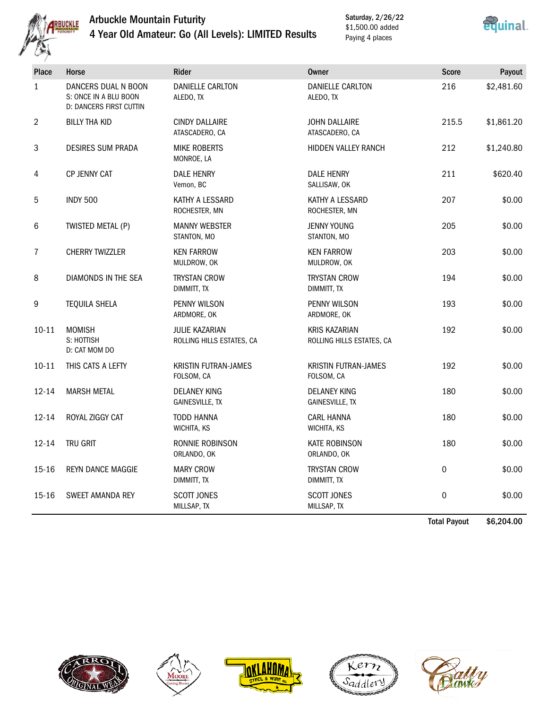

## Arbuckle Mountain Futurity 4 Year Old Amateur: Go (All Levels): LIMITED Results

Saturday, 2/26/22 \$1,500.00 added Paying 4 places



| <b>Place</b>   | Horse                                                                          | <b>Rider</b>                                | <b>Owner</b>                                      | <b>Score</b> | Payout     |
|----------------|--------------------------------------------------------------------------------|---------------------------------------------|---------------------------------------------------|--------------|------------|
| $\mathbf{1}$   | DANCERS DUAL N BOON<br>S: ONCE IN A BLU BOON<br><b>D: DANCERS FIRST CUTTIN</b> | <b>DANIELLE CARLTON</b><br>ALEDO, TX        | <b>DANIELLE CARLTON</b><br>ALEDO, TX              | 216          | \$2,481.60 |
| $\overline{2}$ | BILLY THA KID                                                                  | <b>CINDY DALLAIRE</b><br>ATASCADERO, CA     | <b>JOHN DALLAIRE</b><br>ATASCADERO, CA            | 215.5        | \$1,861.20 |
| 3              | <b>DESIRES SUM PRADA</b>                                                       | <b>MIKE ROBERTS</b><br>MONROE, LA           | HIDDEN VALLEY RANCH                               | 212          | \$1,240.80 |
| 4              | CP JENNY CAT                                                                   | <b>DALE HENRY</b><br>Vernon, BC             | <b>DALE HENRY</b><br>SALLISAW, OK                 | 211          | \$620.40   |
| 5              | <b>INDY 500</b>                                                                | KATHY A LESSARD<br>ROCHESTER, MN            | KATHY A LESSARD<br>ROCHESTER, MN                  | 207          | \$0.00     |
| 6              | TWISTED METAL (P)                                                              | <b>MANNY WEBSTER</b><br>STANTON, MO         | <b>JENNY YOUNG</b><br>STANTON, MO                 | 205          | \$0.00     |
| $\overline{7}$ | CHERRY TWIZZLER                                                                | <b>KEN FARROW</b><br>MULDROW, OK            | <b>KEN FARROW</b><br>MULDROW, OK                  | 203          | \$0.00     |
| 8              | DIAMONDS IN THE SEA                                                            | <b>TRYSTAN CROW</b><br>DIMMITT, TX          | <b>TRYSTAN CROW</b><br>DIMMITT, TX                | 194          | \$0.00     |
| 9              | <b>TEQUILA SHELA</b>                                                           | PENNY WILSON<br>ARDMORE, OK                 | PENNY WILSON<br>ARDMORE, OK                       | 193          | \$0.00     |
| $10 - 11$      | <b>MOMISH</b><br>S: HOTTISH<br>D: CAT MOM DO                                   | JULIE KAZARIAN<br>ROLLING HILLS ESTATES, CA | <b>KRIS KAZARIAN</b><br>ROLLING HILLS ESTATES, CA | 192          | \$0.00     |
| $10 - 11$      | THIS CATS A LEFTY                                                              | <b>KRISTIN FUTRAN-JAMES</b><br>FOLSOM, CA   | <b>KRISTIN FUTRAN-JAMES</b><br>FOLSOM, CA         | 192          | \$0.00     |
| $12 - 14$      | <b>MARSH METAL</b>                                                             | <b>DELANEY KING</b><br>GAINESVILLE, TX      | <b>DELANEY KING</b><br><b>GAINESVILLE, TX</b>     | 180          | \$0.00     |
| $12 - 14$      | ROYAL ZIGGY CAT                                                                | <b>TODD HANNA</b><br>WICHITA, KS            | <b>CARL HANNA</b><br>WICHITA, KS                  | 180          | \$0.00     |
| $12 - 14$      | TRU GRIT                                                                       | RONNIE ROBINSON<br>ORLANDO, OK              | <b>KATE ROBINSON</b><br>ORLANDO, OK               | 180          | \$0.00     |
| 15-16          | <b>REYN DANCE MAGGIE</b>                                                       | <b>MARY CROW</b><br>DIMMITT, TX             | <b>TRYSTAN CROW</b><br>DIMMITT, TX                | 0            | \$0.00     |
| $15 - 16$      | SWEET AMANDA REY                                                               | <b>SCOTT JONES</b><br>MILLSAP, TX           | <b>SCOTT JONES</b><br>MILLSAP, TX                 | 0            | \$0.00     |

Total Payout \$6,204.00









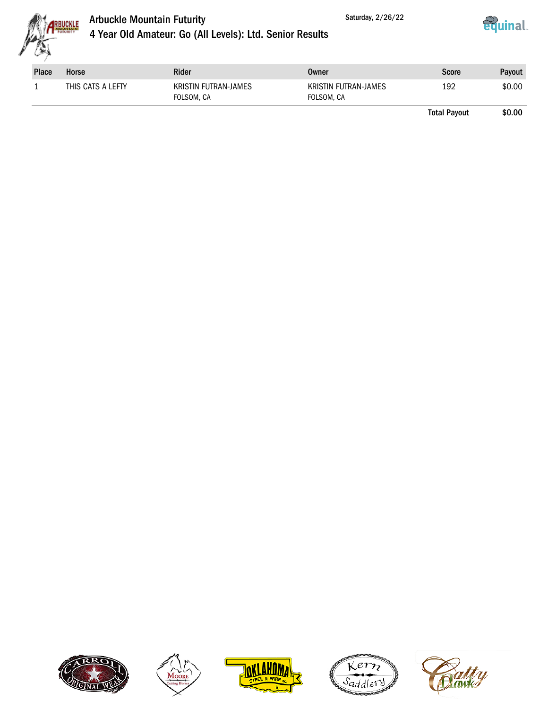



| <b>Place</b> | Horse             | Rider                                     | Owner                              | Score | Payout |
|--------------|-------------------|-------------------------------------------|------------------------------------|-------|--------|
|              | THIS CATS A LEFTY | <b>KRISTIN FUTRAN-JAMES</b><br>FOLSOM, CA | KRISTIN FUTRAN-JAMES<br>FOLSOM, CA | 192   | \$0.00 |

Saturday, 2/26/22

Total Payout \$0.00









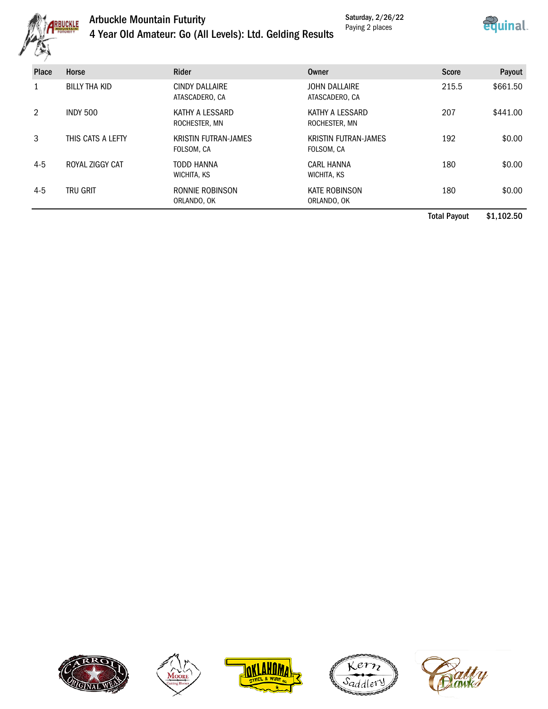

## Arbuckle Mountain Futurity 4 Year Old Amateur: Go (All Levels): Ltd. Gelding Results

Saturday, 2/26/22 Paying 2 places



|         |                      |                                           |                                           | <b>Total Payout</b> | \$1,102.50 |
|---------|----------------------|-------------------------------------------|-------------------------------------------|---------------------|------------|
| $4 - 5$ | <b>TRU GRIT</b>      | RONNIE ROBINSON<br>ORLANDO, OK            | <b>KATE ROBINSON</b><br>ORLANDO, OK       | 180                 | \$0.00     |
| $4 - 5$ | ROYAL ZIGGY CAT      | <b>TODD HANNA</b><br>WICHITA, KS          | <b>CARL HANNA</b><br>WICHITA, KS          | 180                 | \$0.00     |
| 3       | THIS CATS A LEFTY    | <b>KRISTIN FUTRAN-JAMES</b><br>FOLSOM, CA | <b>KRISTIN FUTRAN-JAMES</b><br>FOLSOM, CA | 192                 | \$0.00     |
| 2       | <b>INDY 500</b>      | KATHY A LESSARD<br>ROCHESTER, MN          | KATHY A LESSARD<br>ROCHESTER, MN          | 207                 | \$441.00   |
|         | <b>BILLY THA KID</b> | <b>CINDY DALLAIRE</b><br>ATASCADERO, CA   | <b>JOHN DALLAIRE</b><br>ATASCADERO, CA    | 215.5               | \$661.50   |
| Place   | Horse                | <b>Rider</b>                              | Owner                                     | <b>Score</b>        | Payout     |
| وبين    |                      |                                           |                                           |                     |            |